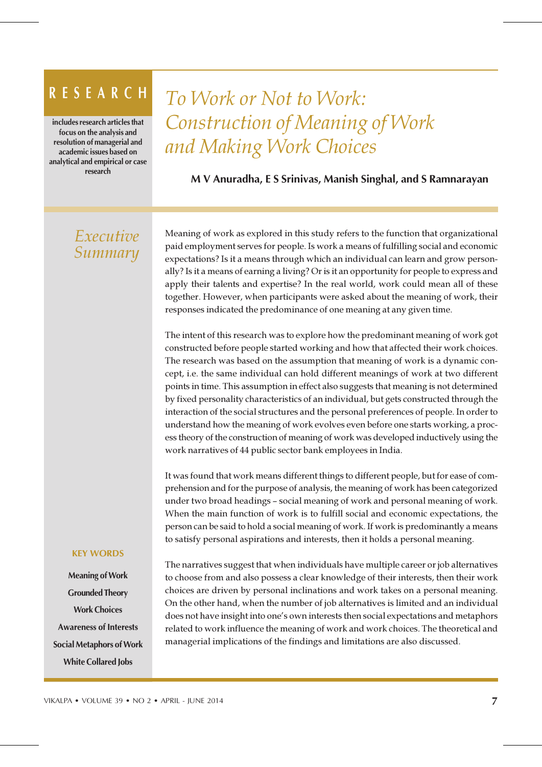## RESEARCH

includes research articles that focus on the analysis and resolution of managerial and academic issues based on analytical and empirical or case research

# To Work or Not to Work: Construction of Meaning of Work and Making Work Choices

M V Anuradha, E S Srinivas, Manish Singhal, and S Ramnarayan

## Executive Summary

Meaning of work as explored in this study refers to the function that organizational paid employment serves for people. Is work a means of fulfilling social and economic expectations? Is it a means through which an individual can learn and grow personally? Is it a means of earning a living? Or is it an opportunity for people to express and apply their talents and expertise? In the real world, work could mean all of these together. However, when participants were asked about the meaning of work, their responses indicated the predominance of one meaning at any given time.

The intent of this research was to explore how the predominant meaning of work got constructed before people started working and how that affected their work choices. The research was based on the assumption that meaning of work is a dynamic concept, i.e. the same individual can hold different meanings of work at two different points in time. This assumption in effect also suggests that meaning is not determined by fixed personality characteristics of an individual, but gets constructed through the interaction of the social structures and the personal preferences of people. In order to understand how the meaning of work evolves even before one starts working, a process theory of the construction of meaning of work was developed inductively using the work narratives of 44 public sector bank employees in India.

It was found that work means different things to different people, but for ease of comprehension and for the purpose of analysis, the meaning of work has been categorized under two broad headings – social meaning of work and personal meaning of work. When the main function of work is to fulfill social and economic expectations, the person can be said to hold a social meaning of work. If work is predominantly a means to satisfy personal aspirations and interests, then it holds a personal meaning.

#### KEY WORDS

Meaning of Work Grounded Theory Work Choices Awareness of Interests Social Metaphors of Work White Collared Jobs

The narratives suggest that when individuals have multiple career or job alternatives to choose from and also possess a clear knowledge of their interests, then their work choices are driven by personal inclinations and work takes on a personal meaning. On the other hand, when the number of job alternatives is limited and an individual does not have insight into one's own interests then social expectations and metaphors related to work influence the meaning of work and work choices. The theoretical and managerial implications of the findings and limitations are also discussed.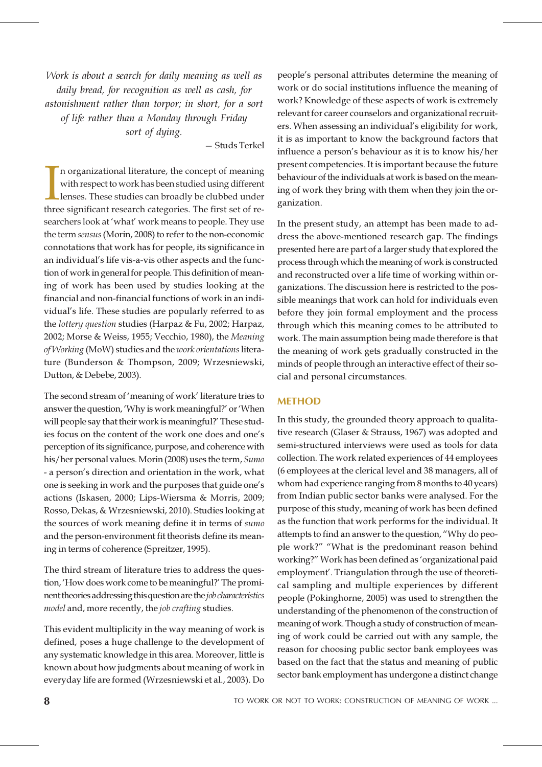Work is about a search for daily meaning as well as daily bread, for recognition as well as cash, for astonishment rather than torpor; in short, for a sort of life rather than a Monday through Friday sort of dying.

— Studs Terkel

In organizational literature, the concept of meaning with respect to work has been studied using different lenses. These studies can broadly be clubbed under three significant research categories. The first set of ren organizational literature, the concept of meaning with respect to work has been studied using different **Lenses.** These studies can broadly be clubbed under searchers look at 'what' work means to people. They use the term sensus (Morin, 2008) to refer to the non-economic connotations that work has for people, its significance in an individual's life vis-a-vis other aspects and the function of work in general for people. This definition of meaning of work has been used by studies looking at the financial and non-financial functions of work in an individual's life. These studies are popularly referred to as the lottery question studies (Harpaz & Fu, 2002; Harpaz, 2002; Morse & Weiss, 1955; Vecchio, 1980), the Meaning of Working (MoW) studies and the work orientations literature (Bunderson & Thompson, 2009; Wrzesniewski, Dutton, & Debebe, 2003).

The second stream of 'meaning of work' literature tries to answer the question, 'Why is work meaningful?' or 'When will people say that their work is meaningful?' These studies focus on the content of the work one does and one's perception of its significance, purpose, and coherence with his/her personal values. Morin (2008) uses the term, Sumo - a person's direction and orientation in the work, what one is seeking in work and the purposes that guide one's actions (Iskasen, 2000; Lips-Wiersma & Morris, 2009; Rosso, Dekas, & Wrzesniewski, 2010). Studies looking at the sources of work meaning define it in terms of sumo and the person-environment fit theorists define its meaning in terms of coherence (Spreitzer, 1995).

The third stream of literature tries to address the question, 'How does work come to be meaningful?' The prominent theories addressing this question are the job characteristics model and, more recently, the job crafting studies.

This evident multiplicity in the way meaning of work is defined, poses a huge challenge to the development of any systematic knowledge in this area. Moreover, little is known about how judgments about meaning of work in everyday life are formed (Wrzesniewski et al., 2003). Do

people's personal attributes determine the meaning of work or do social institutions influence the meaning of work? Knowledge of these aspects of work is extremely relevant for career counselors and organizational recruiters. When assessing an individual's eligibility for work, it is as important to know the background factors that influence a person's behaviour as it is to know his/her present competencies. It is important because the future behaviour of the individuals at work is based on the meaning of work they bring with them when they join the organization.

In the present study, an attempt has been made to address the above-mentioned research gap. The findings presented here are part of a larger study that explored the process through which the meaning of work is constructed and reconstructed over a life time of working within organizations. The discussion here is restricted to the possible meanings that work can hold for individuals even before they join formal employment and the process through which this meaning comes to be attributed to work. The main assumption being made therefore is that the meaning of work gets gradually constructed in the minds of people through an interactive effect of their social and personal circumstances.

#### **METHOD**

In this study, the grounded theory approach to qualitative research (Glaser & Strauss, 1967) was adopted and semi-structured interviews were used as tools for data collection. The work related experiences of 44 employees (6 employees at the clerical level and 38 managers, all of whom had experience ranging from 8 months to 40 years) from Indian public sector banks were analysed. For the purpose of this study, meaning of work has been defined as the function that work performs for the individual. It attempts to find an answer to the question, "Why do people work?" "What is the predominant reason behind working?" Work has been defined as 'organizational paid employment'. Triangulation through the use of theoretical sampling and multiple experiences by different people (Pokinghorne, 2005) was used to strengthen the understanding of the phenomenon of the construction of meaning of work. Though a study of construction of meaning of work could be carried out with any sample, the reason for choosing public sector bank employees was based on the fact that the status and meaning of public sector bank employment has undergone a distinct change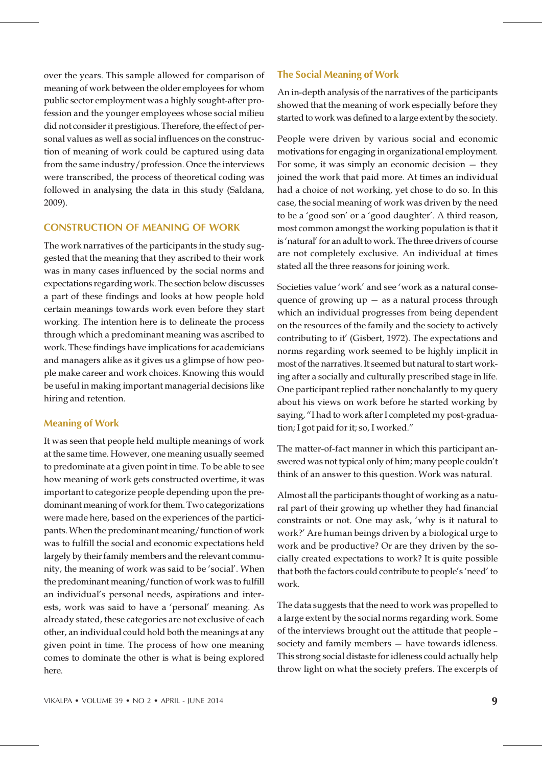over the years. This sample allowed for comparison of meaning of work between the older employees for whom public sector employment was a highly sought-after profession and the younger employees whose social milieu did not consider it prestigious. Therefore, the effect of personal values as well as social influences on the construction of meaning of work could be captured using data from the same industry/profession. Once the interviews were transcribed, the process of theoretical coding was followed in analysing the data in this study (Saldana, 2009).

#### CONSTRUCTION OF MEANING OF WORK

The work narratives of the participants in the study suggested that the meaning that they ascribed to their work was in many cases influenced by the social norms and expectations regarding work. The section below discusses a part of these findings and looks at how people hold certain meanings towards work even before they start working. The intention here is to delineate the process through which a predominant meaning was ascribed to work. These findings have implications for academicians and managers alike as it gives us a glimpse of how people make career and work choices. Knowing this would be useful in making important managerial decisions like hiring and retention.

#### Meaning of Work

It was seen that people held multiple meanings of work at the same time. However, one meaning usually seemed to predominate at a given point in time. To be able to see how meaning of work gets constructed overtime, it was important to categorize people depending upon the predominant meaning of work for them. Two categorizations were made here, based on the experiences of the participants. When the predominant meaning/function of work was to fulfill the social and economic expectations held largely by their family members and the relevant community, the meaning of work was said to be 'social'. When the predominant meaning/function of work was to fulfill an individual's personal needs, aspirations and interests, work was said to have a 'personal' meaning. As already stated, these categories are not exclusive of each other, an individual could hold both the meanings at any given point in time. The process of how one meaning comes to dominate the other is what is being explored here.

#### The Social Meaning of Work

An in-depth analysis of the narratives of the participants showed that the meaning of work especially before they started to work was defined to a large extent by the society.

People were driven by various social and economic motivations for engaging in organizational employment. For some, it was simply an economic decision  $-$  they joined the work that paid more. At times an individual had a choice of not working, yet chose to do so. In this case, the social meaning of work was driven by the need to be a 'good son' or a 'good daughter'. A third reason, most common amongst the working population is that it is 'natural' for an adult to work. The three drivers of course are not completely exclusive. An individual at times stated all the three reasons for joining work.

Societies value 'work' and see 'work as a natural consequence of growing  $up - as a natural process through$ which an individual progresses from being dependent on the resources of the family and the society to actively contributing to it' (Gisbert, 1972). The expectations and norms regarding work seemed to be highly implicit in most of the narratives. It seemed but natural to start working after a socially and culturally prescribed stage in life. One participant replied rather nonchalantly to my query about his views on work before he started working by saying, "I had to work after I completed my post-graduation; I got paid for it; so, I worked."

The matter-of-fact manner in which this participant answered was not typical only of him; many people couldn't think of an answer to this question. Work was natural.

Almost all the participants thought of working as a natural part of their growing up whether they had financial constraints or not. One may ask, 'why is it natural to work?' Are human beings driven by a biological urge to work and be productive? Or are they driven by the socially created expectations to work? It is quite possible that both the factors could contribute to people's 'need' to work.

The data suggests that the need to work was propelled to a large extent by the social norms regarding work. Some of the interviews brought out the attitude that people – society and family members — have towards idleness. This strong social distaste for idleness could actually help throw light on what the society prefers. The excerpts of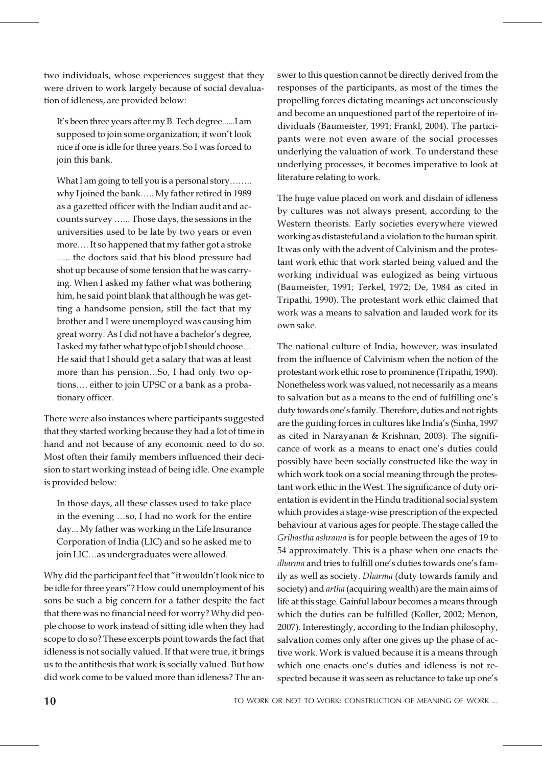two individuals, whose experiences suggest that they were driven to work largely because of social devaluation of idleness, are provided below:

It's been three years after my B. Tech degree......I am supposed to join some organization; it won't look nice if one is idle for three years. So I was forced to join this bank.

What I am going to tell you is a personal story…….. why I joined the bank….. My father retired in 1989 as a gazetted officer with the Indian audit and accounts survey …... Those days, the sessions in the universities used to be late by two years or even more…. It so happened that my father got a stroke ….. the doctors said that his blood pressure had shot up because of some tension that he was carrying. When I asked my father what was bothering him, he said point blank that although he was getting a handsome pension, still the fact that my brother and I were unemployed was causing him great worry. As I did not have a bachelor's degree, I asked my father what type of job I should choose… He said that I should get a salary that was at least more than his pension…So, I had only two options…. either to join UPSC or a bank as a probationary officer.

There were also instances where participants suggested that they started working because they had a lot of time in hand and not because of any economic need to do so. Most often their family members influenced their decision to start working instead of being idle. One example is provided below:

In those days, all these classes used to take place in the evening …so, I had no work for the entire day... My father was working in the Life Insurance Corporation of India (LIC) and so he asked me to join LIC…as undergraduates were allowed.

Why did the participant feel that "it wouldn't look nice to be idle for three years"? How could unemployment of his sons be such a big concern for a father despite the fact that there was no financial need for worry? Why did people choose to work instead of sitting idle when they had scope to do so? These excerpts point towards the fact that idleness is not socially valued. If that were true, it brings us to the antithesis that work is socially valued. But how did work come to be valued more than idleness? The answer to this question cannot be directly derived from the responses of the participants, as most of the times the propelling forces dictating meanings act unconsciously and become an unquestioned part of the repertoire of individuals (Baumeister, 1991; Frankl, 2004). The participants were not even aware of the social processes underlying the valuation of work. To understand these underlying processes, it becomes imperative to look at literature relating to work.

The huge value placed on work and disdain of idleness by cultures was not always present, according to the Western theorists. Early societies everywhere viewed working as distasteful and a violation to the human spirit. It was only with the advent of Calvinism and the protestant work ethic that work started being valued and the working individual was eulogized as being virtuous (Baumeister, 1991; Terkel, 1972; De, 1984 as cited in Tripathi, 1990). The protestant work ethic claimed that work was a means to salvation and lauded work for its own sake.

The national culture of India, however, was insulated from the influence of Calvinism when the notion of the protestant work ethic rose to prominence (Tripathi, 1990). Nonetheless work was valued, not necessarily as a means to salvation but as a means to the end of fulfilling one's duty towards one's family. Therefore, duties and not rights are the guiding forces in cultures like India's (Sinha, 1997 as cited in Narayanan & Krishnan, 2003). The significance of work as a means to enact one's duties could possibly have been socially constructed like the way in which work took on a social meaning through the protestant work ethic in the West. The significance of duty orientation is evident in the Hindu traditional social system which provides a stage-wise prescription of the expected behaviour at various ages for people. The stage called the Grihastha ashrama is for people between the ages of 19 to 54 approximately. This is a phase when one enacts the dharma and tries to fulfill one's duties towards one's family as well as society. Dharma (duty towards family and society) and artha (acquiring wealth) are the main aims of life at this stage. Gainful labour becomes a means through which the duties can be fulfilled (Koller, 2002; Menon, 2007). Interestingly, according to the Indian philosophy, salvation comes only after one gives up the phase of active work. Work is valued because it is a means through which one enacts one's duties and idleness is not respected because it was seen as reluctance to take up one's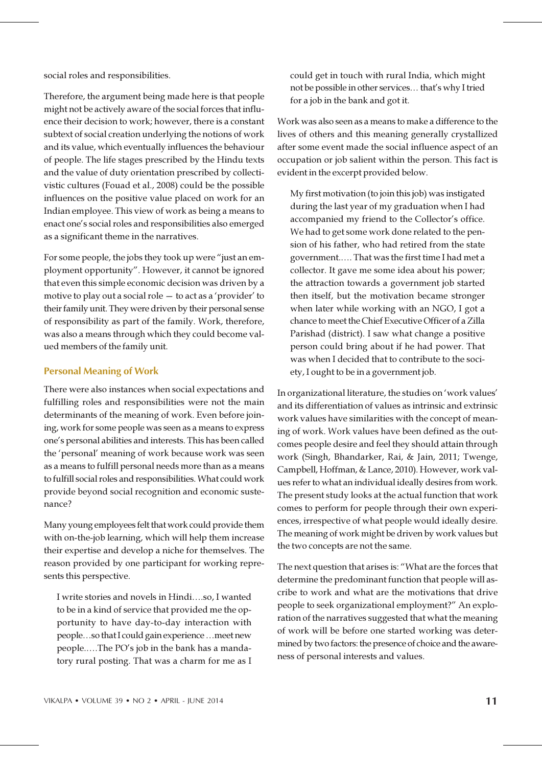social roles and responsibilities.

Therefore, the argument being made here is that people might not be actively aware of the social forces that influence their decision to work; however, there is a constant subtext of social creation underlying the notions of work and its value, which eventually influences the behaviour of people. The life stages prescribed by the Hindu texts and the value of duty orientation prescribed by collectivistic cultures (Fouad et al., 2008) could be the possible influences on the positive value placed on work for an Indian employee. This view of work as being a means to enact one's social roles and responsibilities also emerged as a significant theme in the narratives.

For some people, the jobs they took up were "just an employment opportunity". However, it cannot be ignored that even this simple economic decision was driven by a motive to play out a social role — to act as a 'provider' to their family unit. They were driven by their personal sense of responsibility as part of the family. Work, therefore, was also a means through which they could become valued members of the family unit.

#### Personal Meaning of Work

There were also instances when social expectations and fulfilling roles and responsibilities were not the main determinants of the meaning of work. Even before joining, work for some people was seen as a means to express one's personal abilities and interests. This has been called the 'personal' meaning of work because work was seen as a means to fulfill personal needs more than as a means to fulfill social roles and responsibilities. What could work provide beyond social recognition and economic sustenance?

Many young employees felt that work could provide them with on-the-job learning, which will help them increase their expertise and develop a niche for themselves. The reason provided by one participant for working represents this perspective.

I write stories and novels in Hindi….so, I wanted to be in a kind of service that provided me the opportunity to have day-to-day interaction with people…so that I could gain experience …meet new people.….The PO's job in the bank has a mandatory rural posting. That was a charm for me as I could get in touch with rural India, which might not be possible in other services… that's why I tried for a job in the bank and got it.

Work was also seen as a means to make a difference to the lives of others and this meaning generally crystallized after some event made the social influence aspect of an occupation or job salient within the person. This fact is evident in the excerpt provided below.

My first motivation (to join this job) was instigated during the last year of my graduation when I had accompanied my friend to the Collector's office. We had to get some work done related to the pension of his father, who had retired from the state government.…. That was the first time I had met a collector. It gave me some idea about his power; the attraction towards a government job started then itself, but the motivation became stronger when later while working with an NGO, I got a chance to meet the Chief Executive Officer of a Zilla Parishad (district). I saw what change a positive person could bring about if he had power. That was when I decided that to contribute to the society, I ought to be in a government job.

In organizational literature, the studies on 'work values' and its differentiation of values as intrinsic and extrinsic work values have similarities with the concept of meaning of work. Work values have been defined as the outcomes people desire and feel they should attain through work (Singh, Bhandarker, Rai, & Jain, 2011; Twenge, Campbell, Hoffman, & Lance, 2010). However, work values refer to what an individual ideally desires from work. The present study looks at the actual function that work comes to perform for people through their own experiences, irrespective of what people would ideally desire. The meaning of work might be driven by work values but the two concepts are not the same.

The next question that arises is: "What are the forces that determine the predominant function that people will ascribe to work and what are the motivations that drive people to seek organizational employment?" An exploration of the narratives suggested that what the meaning of work will be before one started working was determined by two factors: the presence of choice and the awareness of personal interests and values.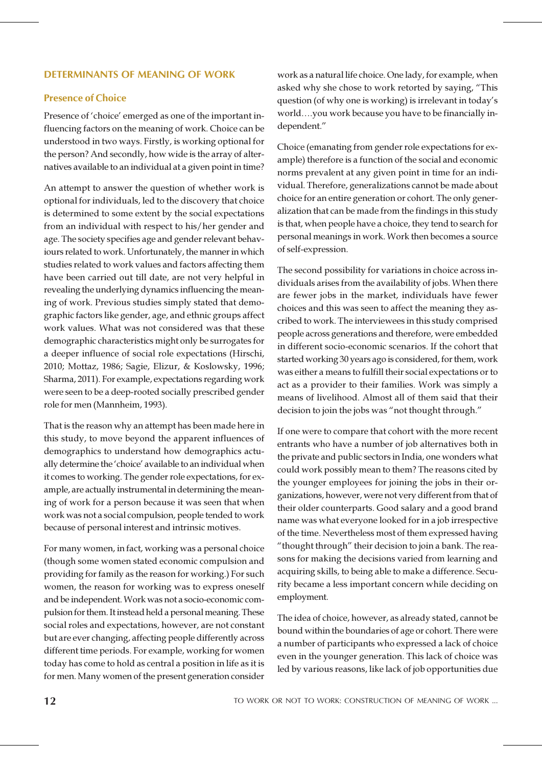#### DETERMINANTS OF MEANING OF WORK

#### Presence of Choice

Presence of 'choice' emerged as one of the important influencing factors on the meaning of work. Choice can be understood in two ways. Firstly, is working optional for the person? And secondly, how wide is the array of alternatives available to an individual at a given point in time?

An attempt to answer the question of whether work is optional for individuals, led to the discovery that choice is determined to some extent by the social expectations from an individual with respect to his/her gender and age. The society specifies age and gender relevant behaviours related to work. Unfortunately, the manner in which studies related to work values and factors affecting them have been carried out till date, are not very helpful in revealing the underlying dynamics influencing the meaning of work. Previous studies simply stated that demographic factors like gender, age, and ethnic groups affect work values. What was not considered was that these demographic characteristics might only be surrogates for a deeper influence of social role expectations (Hirschi, 2010; Mottaz, 1986; Sagie, Elizur, & Koslowsky, 1996; Sharma, 2011). For example, expectations regarding work were seen to be a deep-rooted socially prescribed gender role for men (Mannheim, 1993).

That is the reason why an attempt has been made here in this study, to move beyond the apparent influences of demographics to understand how demographics actually determine the 'choice' available to an individual when it comes to working. The gender role expectations, for example, are actually instrumental in determining the meaning of work for a person because it was seen that when work was not a social compulsion, people tended to work because of personal interest and intrinsic motives.

For many women, in fact, working was a personal choice (though some women stated economic compulsion and providing for family as the reason for working.) For such women, the reason for working was to express oneself and be independent. Work was not a socio-economic compulsion for them. It instead held a personal meaning. These social roles and expectations, however, are not constant but are ever changing, affecting people differently across different time periods. For example, working for women today has come to hold as central a position in life as it is for men. Many women of the present generation consider work as a natural life choice. One lady, for example, when asked why she chose to work retorted by saying, "This question (of why one is working) is irrelevant in today's world….you work because you have to be financially independent."

Choice (emanating from gender role expectations for example) therefore is a function of the social and economic norms prevalent at any given point in time for an individual. Therefore, generalizations cannot be made about choice for an entire generation or cohort. The only generalization that can be made from the findings in this study is that, when people have a choice, they tend to search for personal meanings in work. Work then becomes a source of self-expression.

The second possibility for variations in choice across individuals arises from the availability of jobs. When there are fewer jobs in the market, individuals have fewer choices and this was seen to affect the meaning they ascribed to work. The interviewees in this study comprised people across generations and therefore, were embedded in different socio-economic scenarios. If the cohort that started working 30 years ago is considered, for them, work was either a means to fulfill their social expectations or to act as a provider to their families. Work was simply a means of livelihood. Almost all of them said that their decision to join the jobs was "not thought through."

If one were to compare that cohort with the more recent entrants who have a number of job alternatives both in the private and public sectors in India, one wonders what could work possibly mean to them? The reasons cited by the younger employees for joining the jobs in their organizations, however, were not very different from that of their older counterparts. Good salary and a good brand name was what everyone looked for in a job irrespective of the time. Nevertheless most of them expressed having "thought through" their decision to join a bank. The reasons for making the decisions varied from learning and acquiring skills, to being able to make a difference. Security became a less important concern while deciding on employment.

The idea of choice, however, as already stated, cannot be bound within the boundaries of age or cohort. There were a number of participants who expressed a lack of choice even in the younger generation. This lack of choice was led by various reasons, like lack of job opportunities due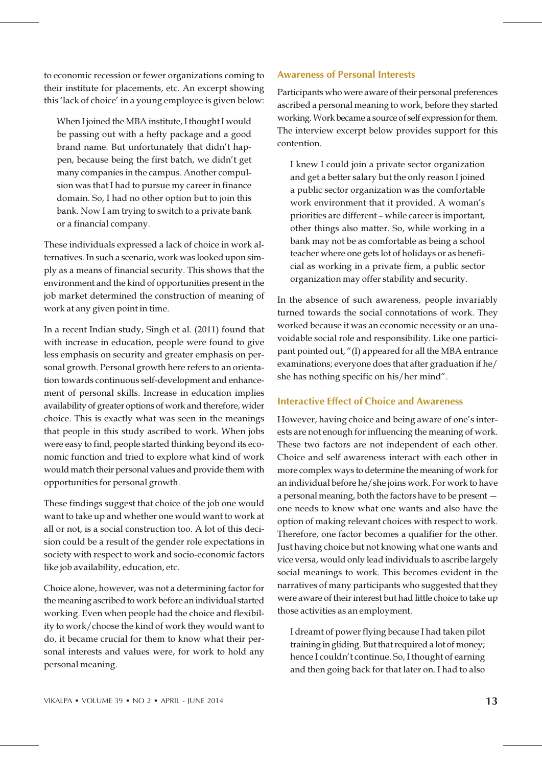to economic recession or fewer organizations coming to their institute for placements, etc. An excerpt showing this 'lack of choice' in a young employee is given below:

When I joined the MBA institute, I thought I would be passing out with a hefty package and a good brand name. But unfortunately that didn't happen, because being the first batch, we didn't get many companies in the campus. Another compulsion was that I had to pursue my career in finance domain. So, I had no other option but to join this bank. Now I am trying to switch to a private bank or a financial company.

These individuals expressed a lack of choice in work alternatives. In such a scenario, work was looked upon simply as a means of financial security. This shows that the environment and the kind of opportunities present in the job market determined the construction of meaning of work at any given point in time.

In a recent Indian study, Singh et al. (2011) found that with increase in education, people were found to give less emphasis on security and greater emphasis on personal growth. Personal growth here refers to an orientation towards continuous self-development and enhancement of personal skills. Increase in education implies availability of greater options of work and therefore, wider choice. This is exactly what was seen in the meanings that people in this study ascribed to work. When jobs were easy to find, people started thinking beyond its economic function and tried to explore what kind of work would match their personal values and provide them with opportunities for personal growth.

These findings suggest that choice of the job one would want to take up and whether one would want to work at all or not, is a social construction too. A lot of this decision could be a result of the gender role expectations in society with respect to work and socio-economic factors like job availability, education, etc.

Choice alone, however, was not a determining factor for the meaning ascribed to work before an individual started working. Even when people had the choice and flexibility to work/choose the kind of work they would want to do, it became crucial for them to know what their personal interests and values were, for work to hold any personal meaning.

#### Awareness of Personal Interests

Participants who were aware of their personal preferences ascribed a personal meaning to work, before they started working. Work became a source of self expression for them. The interview excerpt below provides support for this contention.

I knew I could join a private sector organization and get a better salary but the only reason I joined a public sector organization was the comfortable work environment that it provided. A woman's priorities are different – while career is important, other things also matter. So, while working in a bank may not be as comfortable as being a school teacher where one gets lot of holidays or as beneficial as working in a private firm, a public sector organization may offer stability and security.

In the absence of such awareness, people invariably turned towards the social connotations of work. They worked because it was an economic necessity or an unavoidable social role and responsibility. Like one participant pointed out, "(I) appeared for all the MBA entrance examinations; everyone does that after graduation if he/ she has nothing specific on his/her mind".

#### Interactive Effect of Choice and Awareness

However, having choice and being aware of one's interests are not enough for influencing the meaning of work. These two factors are not independent of each other. Choice and self awareness interact with each other in more complex ways to determine the meaning of work for an individual before he/she joins work. For work to have a personal meaning, both the factors have to be present one needs to know what one wants and also have the option of making relevant choices with respect to work. Therefore, one factor becomes a qualifier for the other. Just having choice but not knowing what one wants and vice versa, would only lead individuals to ascribe largely social meanings to work. This becomes evident in the narratives of many participants who suggested that they were aware of their interest but had little choice to take up those activities as an employment.

I dreamt of power flying because I had taken pilot training in gliding. But that required a lot of money; hence I couldn't continue. So, I thought of earning and then going back for that later on. I had to also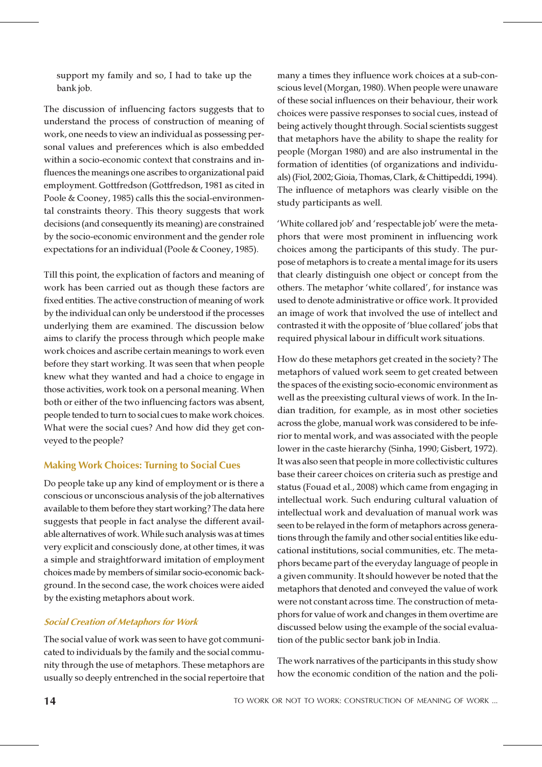support my family and so, I had to take up the bank job.

The discussion of influencing factors suggests that to understand the process of construction of meaning of work, one needs to view an individual as possessing personal values and preferences which is also embedded within a socio-economic context that constrains and influences the meanings one ascribes to organizational paid employment. Gottfredson (Gottfredson, 1981 as cited in Poole & Cooney, 1985) calls this the social-environmental constraints theory. This theory suggests that work decisions (and consequently its meaning) are constrained by the socio-economic environment and the gender role expectations for an individual (Poole & Cooney, 1985).

Till this point, the explication of factors and meaning of work has been carried out as though these factors are fixed entities. The active construction of meaning of work by the individual can only be understood if the processes underlying them are examined. The discussion below aims to clarify the process through which people make work choices and ascribe certain meanings to work even before they start working. It was seen that when people knew what they wanted and had a choice to engage in those activities, work took on a personal meaning. When both or either of the two influencing factors was absent, people tended to turn to social cues to make work choices. What were the social cues? And how did they get conveyed to the people?

#### Making Work Choices: Turning to Social Cues

Do people take up any kind of employment or is there a conscious or unconscious analysis of the job alternatives available to them before they start working? The data here suggests that people in fact analyse the different available alternatives of work. While such analysis was at times very explicit and consciously done, at other times, it was a simple and straightforward imitation of employment choices made by members of similar socio-economic background. In the second case, the work choices were aided by the existing metaphors about work.

#### Social Creation of Metaphors for Work

The social value of work was seen to have got communicated to individuals by the family and the social community through the use of metaphors. These metaphors are usually so deeply entrenched in the social repertoire that many a times they influence work choices at a sub-conscious level (Morgan, 1980). When people were unaware of these social influences on their behaviour, their work choices were passive responses to social cues, instead of being actively thought through. Social scientists suggest that metaphors have the ability to shape the reality for people (Morgan 1980) and are also instrumental in the formation of identities (of organizations and individuals) (Fiol, 2002; Gioia, Thomas, Clark, & Chittipeddi, 1994). The influence of metaphors was clearly visible on the study participants as well.

'White collared job' and 'respectable job' were the metaphors that were most prominent in influencing work choices among the participants of this study. The purpose of metaphors is to create a mental image for its users that clearly distinguish one object or concept from the others. The metaphor 'white collared', for instance was used to denote administrative or office work. It provided an image of work that involved the use of intellect and contrasted it with the opposite of 'blue collared' jobs that required physical labour in difficult work situations.

How do these metaphors get created in the society? The metaphors of valued work seem to get created between the spaces of the existing socio-economic environment as well as the preexisting cultural views of work. In the Indian tradition, for example, as in most other societies across the globe, manual work was considered to be inferior to mental work, and was associated with the people lower in the caste hierarchy (Sinha, 1990; Gisbert, 1972). It was also seen that people in more collectivistic cultures base their career choices on criteria such as prestige and status (Fouad et al., 2008) which came from engaging in intellectual work. Such enduring cultural valuation of intellectual work and devaluation of manual work was seen to be relayed in the form of metaphors across generations through the family and other social entities like educational institutions, social communities, etc. The metaphors became part of the everyday language of people in a given community. It should however be noted that the metaphors that denoted and conveyed the value of work were not constant across time. The construction of metaphors for value of work and changes in them overtime are discussed below using the example of the social evaluation of the public sector bank job in India.

The work narratives of the participants in this study show how the economic condition of the nation and the poli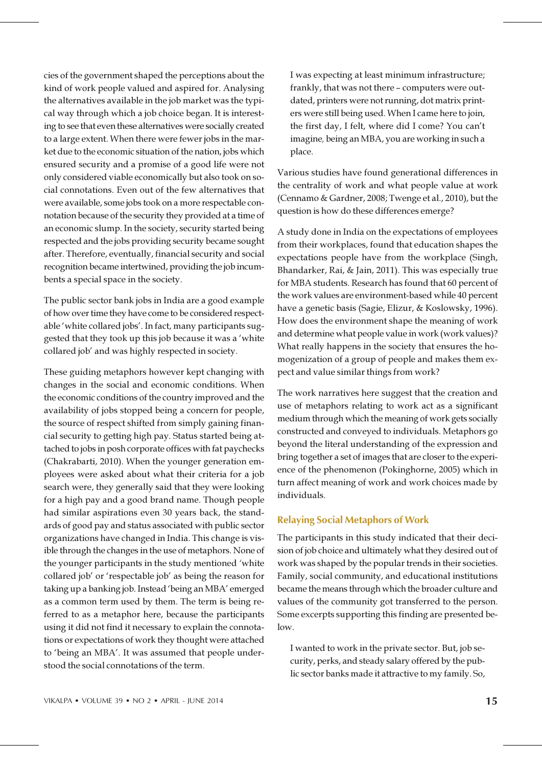cies of the government shaped the perceptions about the kind of work people valued and aspired for. Analysing the alternatives available in the job market was the typical way through which a job choice began. It is interesting to see that even these alternatives were socially created to a large extent. When there were fewer jobs in the market due to the economic situation of the nation, jobs which ensured security and a promise of a good life were not only considered viable economically but also took on social connotations. Even out of the few alternatives that were available, some jobs took on a more respectable connotation because of the security they provided at a time of an economic slump. In the society, security started being respected and the jobs providing security became sought after. Therefore, eventually, financial security and social recognition became intertwined, providing the job incumbents a special space in the society.

The public sector bank jobs in India are a good example of how over time they have come to be considered respectable 'white collared jobs'. In fact, many participants suggested that they took up this job because it was a 'white collared job' and was highly respected in society.

These guiding metaphors however kept changing with changes in the social and economic conditions. When the economic conditions of the country improved and the availability of jobs stopped being a concern for people, the source of respect shifted from simply gaining financial security to getting high pay. Status started being attached to jobs in posh corporate offices with fat paychecks (Chakrabarti, 2010). When the younger generation employees were asked about what their criteria for a job search were, they generally said that they were looking for a high pay and a good brand name. Though people had similar aspirations even 30 years back, the standards of good pay and status associated with public sector organizations have changed in India. This change is visible through the changes in the use of metaphors. None of the younger participants in the study mentioned 'white collared job' or 'respectable job' as being the reason for taking up a banking job. Instead 'being an MBA' emerged as a common term used by them. The term is being referred to as a metaphor here, because the participants using it did not find it necessary to explain the connotations or expectations of work they thought were attached to 'being an MBA'. It was assumed that people understood the social connotations of the term.

I was expecting at least minimum infrastructure; frankly, that was not there – computers were outdated, printers were not running, dot matrix printers were still being used. When I came here to join, the first day, I felt, where did I come? You can't imagine, being an MBA, you are working in such a place.

Various studies have found generational differences in the centrality of work and what people value at work (Cennamo & Gardner, 2008; Twenge et al., 2010), but the question is how do these differences emerge?

A study done in India on the expectations of employees from their workplaces, found that education shapes the expectations people have from the workplace (Singh, Bhandarker, Rai, & Jain, 2011). This was especially true for MBA students. Research has found that 60 percent of the work values are environment-based while 40 percent have a genetic basis (Sagie, Elizur, & Koslowsky, 1996). How does the environment shape the meaning of work and determine what people value in work (work values)? What really happens in the society that ensures the homogenization of a group of people and makes them expect and value similar things from work?

The work narratives here suggest that the creation and use of metaphors relating to work act as a significant medium through which the meaning of work gets socially constructed and conveyed to individuals. Metaphors go beyond the literal understanding of the expression and bring together a set of images that are closer to the experience of the phenomenon (Pokinghorne, 2005) which in turn affect meaning of work and work choices made by individuals.

#### Relaying Social Metaphors of Work

The participants in this study indicated that their decision of job choice and ultimately what they desired out of work was shaped by the popular trends in their societies. Family, social community, and educational institutions became the means through which the broader culture and values of the community got transferred to the person. Some excerpts supporting this finding are presented below.

I wanted to work in the private sector. But, job security, perks, and steady salary offered by the public sector banks made it attractive to my family. So,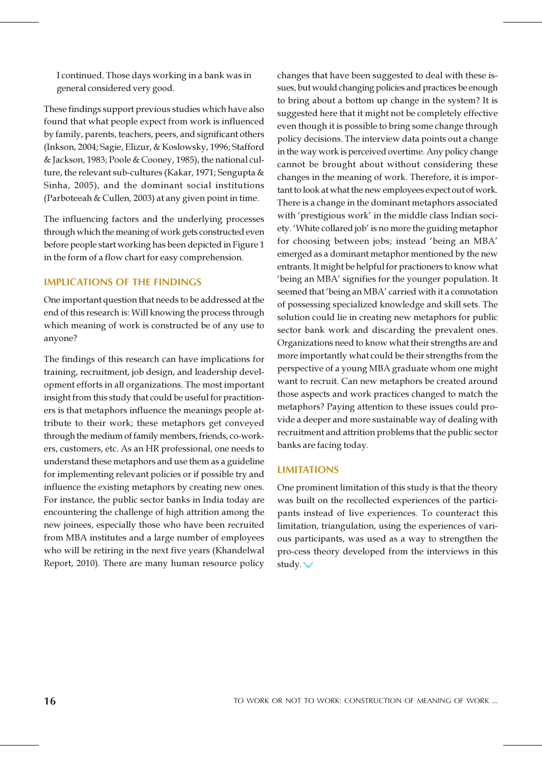I continued. Those days working in a bank was in general considered very good.

These findings support previous studies which have also found that what people expect from work is influenced by family, parents, teachers, peers, and significant others (Inkson, 2004; Sagie, Elizur, & Koslowsky, 1996; Stafford & Jackson, 1983; Poole & Cooney, 1985), the national culture, the relevant sub-cultures (Kakar, 1971; Sengupta & Sinha, 2005), and the dominant social institutions (Parboteeah & Cullen, 2003) at any given point in time.

The influencing factors and the underlying processes through which the meaning of work gets constructed even before people start working has been depicted in Figure 1 in the form of a flow chart for easy comprehension.

#### IMPLICATIONS OF THE FINDINGS

One important question that needs to be addressed at the end of this research is: Will knowing the process through which meaning of work is constructed be of any use to anyone?

The findings of this research can have implications for training, recruitment, job design, and leadership development efforts in all organizations. The most important insight from this study that could be useful for practitioners is that metaphors influence the meanings people attribute to their work; these metaphors get conveyed through the medium of family members, friends, co-workers, customers, etc. As an HR professional, one needs to understand these metaphors and use them as a guideline for implementing relevant policies or if possible try and influence the existing metaphors by creating new ones. For instance, the public sector banks in India today are encountering the challenge of high attrition among the new joinees, especially those who have been recruited from MBA institutes and a large number of employees who will be retiring in the next five years (Khandelwal Report, 2010). There are many human resource policy changes that have been suggested to deal with these issues, but would changing policies and practices be enough to bring about a bottom up change in the system? It is suggested here that it might not be completely effective even though it is possible to bring some change through policy decisions. The interview data points out a change in the way work is perceived overtime. Any policy change cannot be brought about without considering these changes in the meaning of work. Therefore, it is important to look at what the new employees expect out of work. There is a change in the dominant metaphors associated with 'prestigious work' in the middle class Indian society. 'White collared job' is no more the guiding metaphor for choosing between jobs; instead 'being an MBA' emerged as a dominant metaphor mentioned by the new entrants. It might be helpful for practioners to know what 'being an MBA' signifies for the younger population. It seemed that 'being an MBA' carried with it a connotation of possessing specialized knowledge and skill sets. The solution could lie in creating new metaphors for public sector bank work and discarding the prevalent ones. Organizations need to know what their strengths are and more importantly what could be their strengths from the perspective of a young MBA graduate whom one might want to recruit. Can new metaphors be created around those aspects and work practices changed to match the metaphors? Paying attention to these issues could provide a deeper and more sustainable way of dealing with recruitment and attrition problems that the public sector banks are facing today.

#### LIMITATIONS

One prominent limitation of this study is that the theory was built on the recollected experiences of the participants instead of live experiences. To counteract this limitation, triangulation, using the experiences of various participants, was used as a way to strengthen the pro-cess theory developed from the interviews in this study.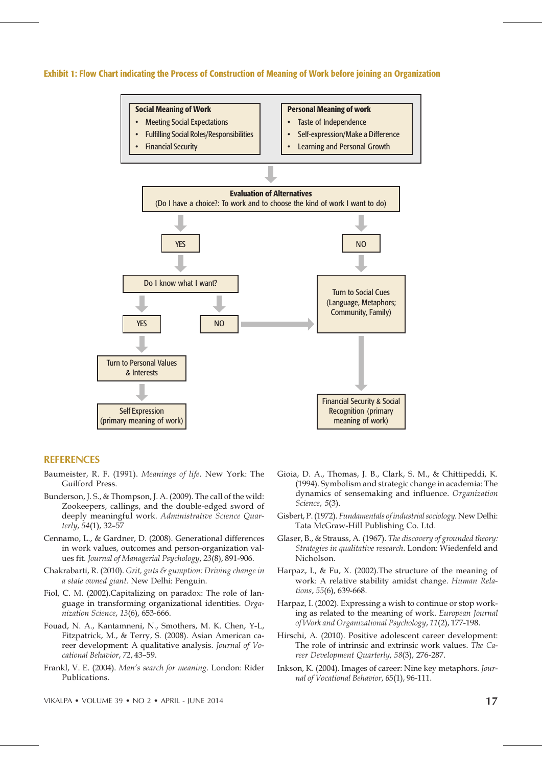#### **Exhibit 1: Flow Chart indicating the Process of Construction of Meaning of Work before joining an Organization**



#### **REFERENCES**

- Baumeister, R. F. (1991). Meanings of life. New York: The Guilford Press.
- Bunderson, J. S., & Thompson, J. A. (2009). The call of the wild: Zookeepers, callings, and the double-edged sword of deeply meaningful work. Administrative Science Quarterly, 54(1), 32–57
- Cennamo, L., & Gardner, D. (2008). Generational differences in work values, outcomes and person-organization values fit. Journal of Managerial Psychology, 23(8), 891-906.
- Chakrabarti, R. (2010). Grit, guts & gumption: Driving change in a state owned giant. New Delhi: Penguin.
- Fiol, C. M. (2002).Capitalizing on paradox: The role of language in transforming organizational identities. Organization Science, 13(6), 653-666.
- Fouad, N. A., Kantamneni, N., Smothers, M. K. Chen, Y-L, Fitzpatrick, M., & Terry, S. (2008). Asian American career development: A qualitative analysis. Journal of Vocational Behavior, 72, 43–59.
- Frankl, V. E. (2004). Man's search for meaning. London: Rider Publications.
- Gioia, D. A., Thomas, J. B., Clark, S. M., & Chittipeddi, K. (1994). Symbolism and strategic change in academia: The dynamics of sensemaking and influence. Organization Science, 5(3).
- Gisbert, P. (1972). Fundamentals of industrial sociology. New Delhi: Tata McGraw-Hill Publishing Co. Ltd.
- Glaser, B., & Strauss, A. (1967). The discovery of grounded theory: Strategies in qualitative research. London: Wiedenfeld and Nicholson.
- Harpaz, I., & Fu, X. (2002).The structure of the meaning of work: A relative stability amidst change. Human Relations, 55(6), 639-668.
- Harpaz, I. (2002). Expressing a wish to continue or stop working as related to the meaning of work. European Journal of Work and Organizational Psychology, 11(2), 177-198.
- Hirschi, A. (2010). Positive adolescent career development: The role of intrinsic and extrinsic work values. The Career Development Quarterly, 58(3), 276-287.
- Inkson, K. (2004). Images of career: Nine key metaphors. Journal of Vocational Behavior, 65(1), 96-111.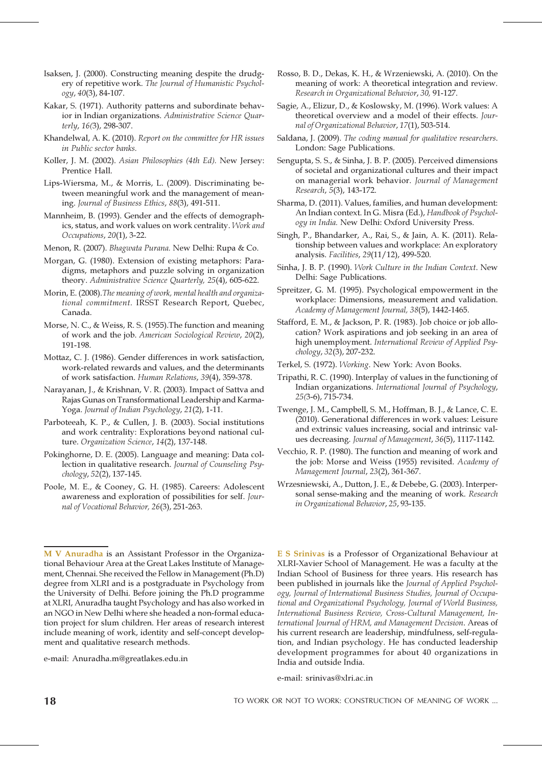Isaksen, J. (2000). Constructing meaning despite the drudgery of repetitive work. The Journal of Humanistic Psychology, 40(3), 84-107.

- Kakar, S. (1971). Authority patterns and subordinate behavior in Indian organizations. Administrative Science Quarterly, 16(3), 298-307.
- Khandelwal, A. K. (2010). Report on the committee for HR issues in Public sector banks.
- Koller, J. M. (2002). Asian Philosophies (4th Ed). New Jersey: Prentice Hall.
- Lips-Wiersma, M., & Morris, L. (2009). Discriminating between meaningful work and the management of meaning. Journal of Business Ethics, 88(3), 491-511.
- Mannheim, B. (1993). Gender and the effects of demographics, status, and work values on work centrality. Work and Occupations, 20(1), 3-22.
- Menon, R. (2007). Bhagwata Purana. New Delhi: Rupa & Co.
- Morgan, G. (1980). Extension of existing metaphors: Paradigms, metaphors and puzzle solving in organization theory. Administrative Science Quarterly, 25(4), 605-622.
- Morin, E. (2008).The meaning of work, mental health and organizational commitment. IRSST Research Report, Quebec, Canada.
- Morse, N. C., & Weiss, R. S. (1955).The function and meaning of work and the job. American Sociological Review, 20(2), 191-198.
- Mottaz, C. J. (1986). Gender differences in work satisfaction, work-related rewards and values, and the determinants of work satisfaction. Human Relations, 39(4), 359-378.
- Narayanan, J., & Krishnan, V. R. (2003). Impact of Sattva and Rajas Gunas on Transformational Leadership and Karma-Yoga. Journal of Indian Psychology, 21(2), 1-11.
- Parboteeah, K. P., & Cullen, J. B. (2003). Social institutions and work centrality: Explorations beyond national culture. Organization Science, 14(2), 137-148.
- Pokinghorne, D. E. (2005). Language and meaning: Data collection in qualitative research. Journal of Counseling Psychology, 52(2), 137-145.
- Poole, M. E., & Cooney, G. H. (1985). Careers: Adolescent awareness and exploration of possibilities for self. Journal of Vocational Behavior, 26(3), 251-263.

e-mail: Anuradha.m@greatlakes.edu.in

- Rosso, B. D., Dekas, K. H., & Wrzeniewski, A. (2010). On the meaning of work: A theoretical integration and review. Research in Organizational Behavior, 30, 91-127.
- Sagie, A., Elizur, D., & Koslowsky, M. (1996). Work values: A theoretical overview and a model of their effects. Journal of Organizational Behavior, 17(1), 503-514.
- Saldana, J. (2009). The coding manual for qualitative researchers. London: Sage Publications.
- Sengupta, S. S., & Sinha, J. B. P. (2005). Perceived dimensions of societal and organizational cultures and their impact on managerial work behavior. Journal of Management Research, 5(3), 143-172.
- Sharma, D. (2011). Values, families, and human development: An Indian context. In G. Misra (Ed.), Handbook of Psychology in India. New Delhi: Oxford University Press.
- Singh, P., Bhandarker, A., Rai, S., & Jain, A. K. (2011). Relationship between values and workplace: An exploratory analysis. Facilities, 29(11/12), 499-520.
- Sinha, J. B. P. (1990). Work Culture in the Indian Context. New Delhi: Sage Publications.
- Spreitzer, G. M. (1995). Psychological empowerment in the workplace: Dimensions, measurement and validation. Academy of Management Journal, 38(5), 1442-1465.
- Stafford, E. M., & Jackson, P. R. (1983). Job choice or job allocation? Work aspirations and job seeking in an area of high unemployment. International Review of Applied Psychology, 32(3), 207-232.
- Terkel, S. (1972). Working. New York: Avon Books.
- Tripathi, R. C. (1990). Interplay of values in the functioning of Indian organizations. International Journal of Psychology, 25(3-6), 715-734.
- Twenge, J. M., Campbell, S. M., Hoffman, B. J., & Lance, C. E. (2010). Generational differences in work values: Leisure and extrinsic values increasing, social and intrinsic values decreasing. Journal of Management, 36(5), 1117-1142.
- Vecchio, R. P. (1980). The function and meaning of work and the job: Morse and Weiss (1955) revisited. Academy of Management Journal, 23(2), 361-367.
- Wrzesniewski, A., Dutton, J. E., & Debebe, G. (2003). Interpersonal sense-making and the meaning of work. Research in Organizational Behavior, 25, 93-135.

E S Srinivas is a Professor of Organizational Behaviour at XLRI-Xavier School of Management. He was a faculty at the Indian School of Business for three years. His research has been published in journals like the Journal of Applied Psychology, Journal of International Business Studies, Journal of Occupational and Organizational Psychology, Journal of World Business, International Business Review, Cross-Cultural Management, International Journal of HRM, and Management Decision. Areas of his current research are leadership, mindfulness, self-regulation, and Indian psychology. He has conducted leadership development programmes for about 40 organizations in India and outside India.

e-mail: srinivas@xlri.ac.in

M V Anuradha is an Assistant Professor in the Organizational Behaviour Area at the Great Lakes Institute of Management, Chennai. She received the Fellow in Management (Ph.D) degree from XLRI and is a postgraduate in Psychology from the University of Delhi. Before joining the Ph.D programme at XLRI, Anuradha taught Psychology and has also worked in an NGO in New Delhi where she headed a non-formal education project for slum children. Her areas of research interest include meaning of work, identity and self-concept development and qualitative research methods.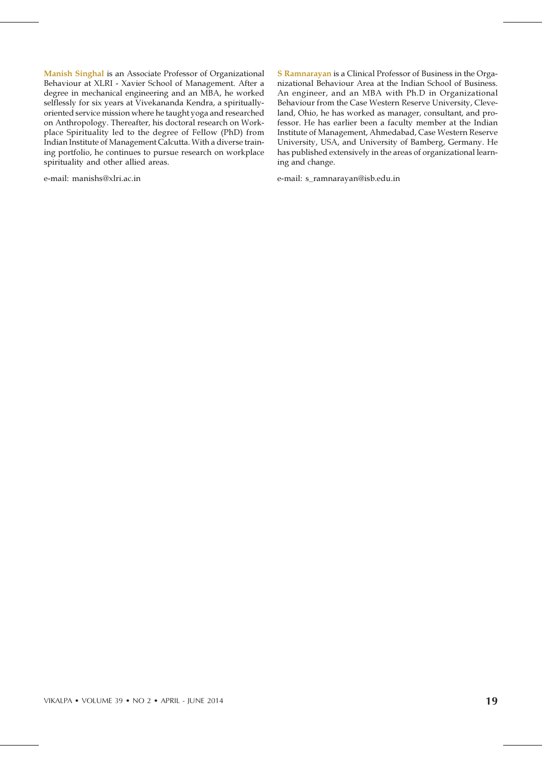Manish Singhal is an Associate Professor of Organizational Behaviour at XLRI - Xavier School of Management. After a degree in mechanical engineering and an MBA, he worked selflessly for six years at Vivekananda Kendra, a spirituallyoriented service mission where he taught yoga and researched on Anthropology. Thereafter, his doctoral research on Workplace Spirituality led to the degree of Fellow (PhD) from Indian Institute of Management Calcutta. With a diverse training portfolio, he continues to pursue research on workplace spirituality and other allied areas.

e-mail: manishs@xlri.ac.in

S Ramnarayan is a Clinical Professor of Business in the Organizational Behaviour Area at the Indian School of Business. An engineer, and an MBA with Ph.D in Organizational Behaviour from the Case Western Reserve University, Cleveland, Ohio, he has worked as manager, consultant, and professor. He has earlier been a faculty member at the Indian Institute of Management, Ahmedabad, Case Western Reserve University, USA, and University of Bamberg, Germany. He has published extensively in the areas of organizational learning and change.

e-mail: s\_ramnarayan@isb.edu.in